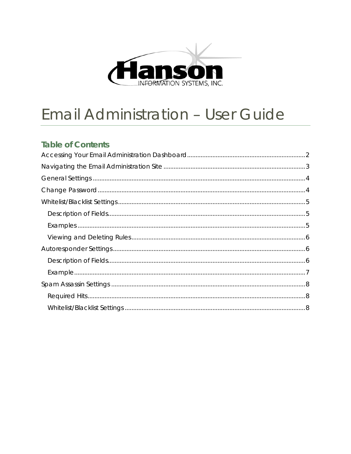

# **Email Administration - User Guide**

## **Table of Contents**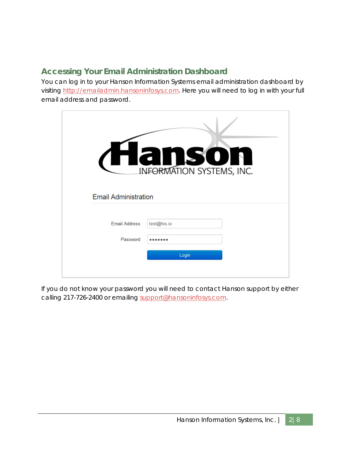# <span id="page-1-0"></span>**Accessing Your Email Administration Dashboard**

You can log in to your Hanson Information Systems email administration dashboard by visiting [http://emailadmin.hansoninfosys.com.](http://emailadmin.hansoninfosys.com/) Here you will need to log in with your full email address and password.

| INFORMATION SYSTEMS, INC.<br><b>Email Administration</b> |             |  |  |  |
|----------------------------------------------------------|-------------|--|--|--|
|                                                          |             |  |  |  |
| <b>Email Address</b>                                     | test@his.io |  |  |  |
| Password                                                 |             |  |  |  |
|                                                          | Login       |  |  |  |

If you do not know your password you will need to contact Hanson support by either calling 217-726-2400 or emailing [support@hansoninfosys.com.](mailto:support@hansoninfosys.com)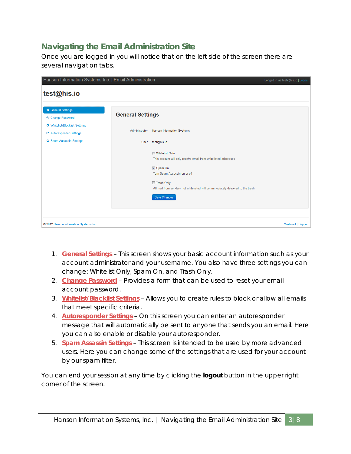# <span id="page-2-0"></span>**Navigating the Email Administration Site**

Once you are logged in you will notice that on the left side of the screen there are several navigation tabs.

| Hanson Information Systems Inc.   Email Administration                   |                         |                                                                                                                                                                                                                                | Logged in as test@his.io   Logout |
|--------------------------------------------------------------------------|-------------------------|--------------------------------------------------------------------------------------------------------------------------------------------------------------------------------------------------------------------------------|-----------------------------------|
| test@his.io                                                              |                         |                                                                                                                                                                                                                                |                                   |
| <b>A</b> General Settings<br>& Change Password                           | <b>General Settings</b> |                                                                                                                                                                                                                                |                                   |
| <b>O</b> Whitelist/Blacklist Settings<br><b>Z</b> Autoresponder Settings | Administrator           | <b>Hanson Information Systems</b>                                                                                                                                                                                              |                                   |
| Spam Assassin Settings                                                   | User                    | test@his.io                                                                                                                                                                                                                    |                                   |
|                                                                          |                         | Whitelist Only<br>This account will only receive email from whitelisted addresses<br>Spam On<br>Turn Spam Assassin on or off<br>Trash Only<br>All mail from senders not whitelisted will be immediately delivered to the trash |                                   |
|                                                                          |                         | Save Changes                                                                                                                                                                                                                   |                                   |
| © 2012 Hanson Information Systems Inc.                                   |                         |                                                                                                                                                                                                                                | <b>Webmail   Support</b>          |

- 1. **[General Settings](#page-3-0)** This screen shows your basic account information such as your account administrator and your username. You also have three settings you can change: Whitelist Only, Spam On, and Trash Only.
- 2. **[Change Password](#page-3-1)** Provides a form that can be used to reset your email account password.
- 3. **[Whitelist/Blacklist Settings](#page-4-0)** Allows you to create rules to block or allow all emails that meet specific criteria.
- 4. **[Autoresponder Settings](#page-5-1)** On this screen you can enter an autoresponder message that will automatically be sent to anyone that sends you an email. Here you can also enable or disable your autoresponder.
- 5. **[Spam Assassin Settings](#page-7-0)** This screen is intended to be used by more advanced users. Here you can change some of the settings that are used for your account by our spam filter.

You can end your session at any time by clicking the **logout** button in the upper right corner of the screen.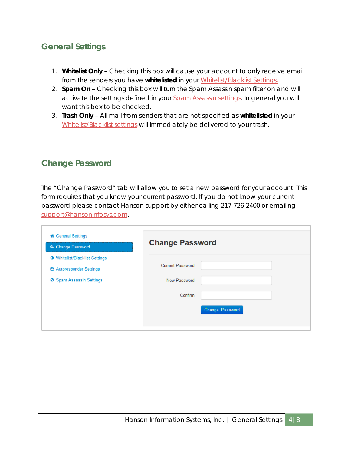## <span id="page-3-0"></span>**General Settings**

- 1. **Whitelist Only** Checking this box will cause your account to only receive email from the senders you have **whitelisted** in your [Whitelist/Blacklist Settings.](#page-4-0)
- 2. **Spam On** Checking this box will turn the Spam Assassin spam filter on and will activate the settings defined in your [Spam Assassin settings.](#page-7-0) In general you will want this box to be checked.
- 3. **Trash Only**  All mail from senders that are not specified as **whitelisted** in your [Whitelist/Blacklist settings](#page-4-0) will immediately be delivered to your trash.

## <span id="page-3-1"></span>**Change Password**

The "Change Password" tab will allow you to set a new password for your account. This form requires that you know your current password. If you do not know your current password please contact Hanson support by either calling 217-726-2400 or emailing [support@hansoninfosys.com.](mailto:support@hansoninfosys.com)

| <b>备 General Settings</b>             |                         |                 |
|---------------------------------------|-------------------------|-----------------|
| & Change Password                     | <b>Change Password</b>  |                 |
| <b>O</b> Whitelist/Blacklist Settings |                         |                 |
| <b>E</b> Autoresponder Settings       | <b>Current Password</b> |                 |
| <b>⊘</b> Spam Assassin Settings       | New Password            |                 |
|                                       | Confirm                 |                 |
|                                       |                         | Change Password |
|                                       |                         |                 |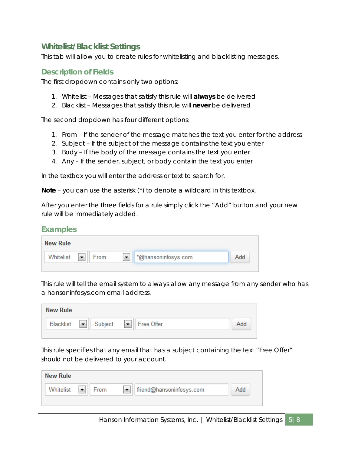## <span id="page-4-0"></span>**Whitelist/Blacklist Settings**

This tab will allow you to create rules for whitelisting and blacklisting messages.

#### <span id="page-4-1"></span>**Description of Fields**

The first dropdown contains only two options:

- 1. Whitelist Messages that satisfy this rule will **always** be delivered
- 2. Blacklist Messages that satisfy this rule will **never** be delivered

The second dropdown has four different options:

- 1. From If the sender of the message matches the text you enter for the address
- 2. Subject If the subject of the message contains the text you enter
- 3. Body If the body of the message contains the text you enter
- 4. Any If the sender, subject, or body contain the text you enter

In the textbox you will enter the address or text to search for.

**Note** – you can use the asterisk (\*) to denote a wildcard in this textbox.

After you enter the three fields for a rule simply click the "Add" button and your new rule will be immediately added.

#### <span id="page-4-2"></span>**Examples**

| <b>New Rule</b> |      |                     |     |
|-----------------|------|---------------------|-----|
| Whitelist       | From | *@hansoninfosys.com | Add |

This rule will tell the email system to always allow any message from any sender who has a hansoninfosys.com email address.

| <b>New Rule</b> |                                  |     |
|-----------------|----------------------------------|-----|
|                 | Blacklist   Subject   Free Offer | Add |
|                 |                                  |     |

This rule specifies that any email that has a subject containing the text "Free Offer" should not be delivered to your account.

| <b>New Rule</b> |      |                               |     |
|-----------------|------|-------------------------------|-----|
| Whitelist       | From | friend@hansoninfosys.com<br>▼ | Add |
|                 |      |                               |     |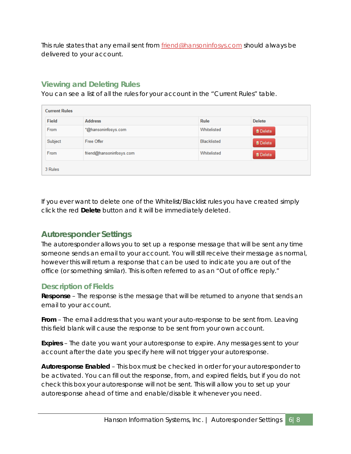This rule states that any email sent from **friend@hansoninfosys.com** should always be delivered to your account.

## <span id="page-5-0"></span>**Viewing and Deleting Rules**

You can see a list of all the rules for your account in the "Current Rules" table.

| <b>Current Rules</b> |                          |                    |                 |  |
|----------------------|--------------------------|--------------------|-----------------|--|
| Field                | <b>Address</b>           | Rule               | <b>Delete</b>   |  |
| From                 | *@hansoninfosys.com      | Whitelisted        | <b>音 Delete</b> |  |
| Subject              | Free Offer               | <b>Blacklisted</b> | <b>音 Delete</b> |  |
| From                 | friend@hansoninfosys.com | Whitelisted        | <b>奇 Delete</b> |  |
| 3 Rules              |                          |                    |                 |  |

If you ever want to delete one of the Whitelist/Blacklist rules you have created simply click the red **Delete** button and it will be immediately deleted.

## <span id="page-5-1"></span>**Autoresponder Settings**

The autoresponder allows you to set up a response message that will be sent any time someone sends an email to your account. You will still receive their message as normal, however this will return a response that can be used to indicate you are out of the office (or something similar). This is often referred to as an "Out of office reply."

## <span id="page-5-2"></span>**Description of Fields**

**Response** – The response is the message that will be returned to anyone that sends an email to your account.

**From** – The email address that you want your auto-response to be sent from. Leaving this field blank will cause the response to be sent from your own account.

**Expires** – The date you want your autoresponse to expire. Any messages sent to your account after the date you specify here will not trigger your autoresponse.

**Autoresponse Enabled** – This box must be checked in order for your autoresponder to be activated. You can fill out the response, from, and expired fields, but if you do not check this box your autoresponse will not be sent. This will allow you to set up your autoresponse ahead of time and enable/disable it whenever you need.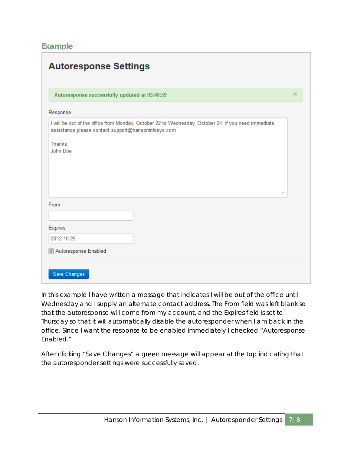#### <span id="page-6-0"></span>**Example**

| Autoresponse successfully updated at 03:48:39       |                                                                                                     | $\times$ |
|-----------------------------------------------------|-----------------------------------------------------------------------------------------------------|----------|
|                                                     |                                                                                                     |          |
| Response                                            |                                                                                                     |          |
| assistance please contact support@hansoninfosys.com | I will be out of the office from Monday, October 22 to Wednesday, October 24. If you need immediate |          |
| Thanks,                                             |                                                                                                     |          |
| John Doe                                            |                                                                                                     |          |
|                                                     |                                                                                                     |          |
|                                                     |                                                                                                     |          |
|                                                     |                                                                                                     |          |
|                                                     | аź.                                                                                                 |          |
|                                                     |                                                                                                     |          |
| From                                                |                                                                                                     |          |
|                                                     |                                                                                                     |          |
| Expires<br>2012-10-25                               |                                                                                                     |          |

In this example I have written a message that indicates I will be out of the office until Wednesday and I supply an alternate contact address. The From field was left blank so that the autoresponse will come from my account, and the Expires field is set to Thursday so that it will automatically disable the autoresponder when I am back in the office. Since I want the response to be enabled immediately I checked "Autoresponse Enabled."

After clicking "Save Changes" a green message will appear at the top indicating that the autoresponder settings were successfully saved.